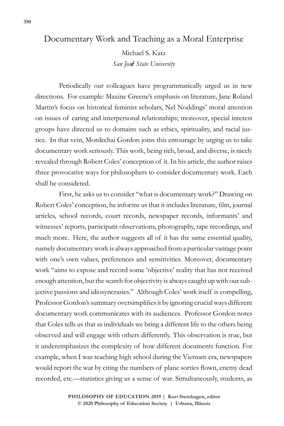## Documentary Work and Teaching as a Moral Enterprise

Michael S. Katz *San José State University*

Periodically our colleagues have programmatically urged us in new directions. For example: Maxine Greene's emphasis on literature, Jane Roland Martin's focus on historical feminist scholars, Nel Noddings' moral attention on issues of caring and interpersonal relationships; moreover, special interest groups have directed us to domains such as ethics, spirituality, and racial justice. In that vein, Mordechai Gordon joins this entourage by urging us to take documentary work seriously. This work, being rich, broad, and diverse, is nicely revealed through Robert Coles' conception of it. In his article, the author raises three provocative ways for philosophers to consider documentary work. Each shall be considered.

First, he asks us to consider "what is documentary work?" Drawing on Robert Coles' conception, he informs us that it includes literature, film, journal articles, school records, court records, newspaper records, informants' and witnesses' reports, participant observations, photography, tape recordings, and much more. Here, the author suggests all of it has the same essential quality, namely documentary work is always approached from a particular vantage point with one's own values, preferences and sensitivities. Moreover, documentary work "aims to expose and record some 'objective' reality that has not received enough attention, but the search for objectivity is always caught up with our subjective passions and idiosyncrasies." Although Coles' work itself is compelling, Professor Gordon's summary oversimplifies it by ignoring crucial ways different documentary work communicates with its audiences. Professor Gordon notes that Coles tells us that as individuals we bring a different life to the others being observed and will engage with others differently. This observation is true, but it underemphasizes the complexity of how different documents function. For example, when I was teaching high school during the Vietnam era, newspapers would report the war by citing the numbers of plane sorties flown, enemy dead recorded, etc.—statistics giving us a sense of war. Simultaneously, students, as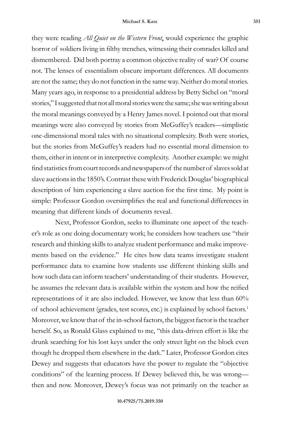they were reading *All Quiet on the Western Front*, would experience the graphic horror of soldiers living in filthy trenches, witnessing their comrades killed and dismembered. Did both portray a common objective reality of war? Of course not. The lenses of essentialism obscure important differences. All documents are not the same; they do not function in the same way. Neither do moral stories. Many years ago, in response to a presidential address by Betty Sichel on "moral stories," I suggested that not all moral stories were the same; she was writing about the moral meanings conveyed by a Henry James novel. I pointed out that moral meanings were also conveyed by stories from McGuffey's readers—simplistic one-dimensional moral tales with no situational complexity. Both were stories, but the stories from McGuffey's readers had no essential moral dimension to them, either in intent or in interpretive complexity. Another example: we might find statistics from court records and newspapers of the number of slaves sold at slave auctions in the 1850's. Contrast these with Frederick Douglas' biographical description of him experiencing a slave auction for the first time. My point is simple: Professor Gordon oversimplifies the real and functional differences in meaning that different kinds of documents reveal.

Next, Professor Gordon, seeks to illuminate one aspect of the teacher's role as one doing documentary work; he considers how teachers use "their research and thinking skills to analyze student performance and make improvements based on the evidence." He cites how data teams investigate student performance data to examine how students use different thinking skills and how such data can inform teachers' understanding of their students. However, he assumes the relevant data is available within the system and how the reified representations of it are also included. However, we know that less than 60% of school achievement (grades, test scores, etc.) is explained by school factors.1 Moreover, we know that of the in-school factors, the biggest factor is the teacher herself. So, as Ronald Glass explained to me, "this data-driven effort is like the drunk searching for his lost keys under the only street light on the block even though he dropped them elsewhere in the dark." Later, Professor Gordon cites Dewey and suggests that educators have the power to regulate the "objective conditions" of the learning process. If Dewey believed this, he was wrong then and now. Moreover, Dewey's focus was not primarily on the teacher as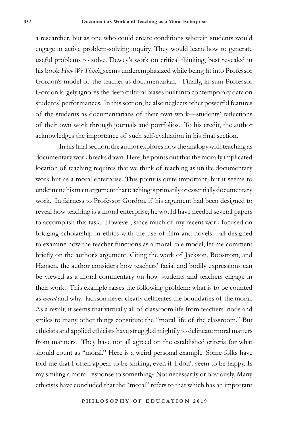a researcher, but as one who could create conditions wherein students would engage in active problem-solving inquiry. They would learn how to generate useful problems to solve. Dewey's work on critical thinking, best revealed in his book *How We Think,* seems underemphasized while being fit into Professor Gordon's model of the teacher as documentarian. Finally, in sum Professor Gordon largely ignores the deep cultural biases built into contemporary data on students' performances. In this section, he also neglects other powerful features of the students as documentarians of their own work—students' reflections of their own work through journals and portfolios. To his credit, the author acknowledges the importance of such self-evaluation in his final section.

In his final section, the author explores how the analogy with teaching as documentary work breaks down. Here, he points out that the morally implicated location of teaching requires that we think of teaching as unlike documentary work but as a moral enterprise. This point is quite important, but it seems to undermine his main argument that teaching is primarily or essentially documentary work. In fairness to Professor Gordon, if his argument had been designed to reveal how teaching is a moral enterprise, he would have needed several papers to accomplish this task. However, since much of my recent work focused on bridging scholarship in ethics with the use of film and novels—all designed to examine how the teacher functions as a moral role model, let me comment briefly on the author's argument. Citing the work of Jackson, Boostrom, and Hansen, the author considers how teachers' facial and bodily expressions can be viewed as a moral commentary on how students and teachers engage in their work. This example raises the following problem: what is to be counted as *moral* and why. Jackson never clearly delineates the boundaries of the moral. As a result, it seems that virtually all of classroom life from teachers' nods and smiles to many other things constitute the "moral life of the classroom." But ethicists and applied ethicists have struggled mightily to delineate moral matters from manners. They have not all agreed on the established criteria for what should count as "moral." Here is a weird personal example. Some folks have told me that I often appear to be smiling, even if I don't seem to be happy. Is my smiling a moral response to something? Not necessarily or obviously. Many ethicists have concluded that the "moral" refers to that which has an important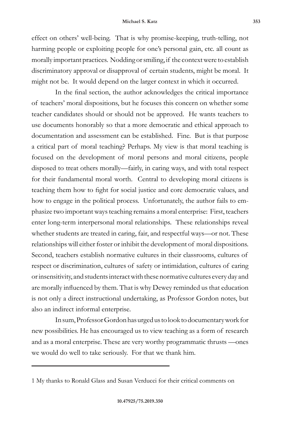effect on others' well-being. That is why promise-keeping, truth-telling, not harming people or exploiting people for one's personal gain, etc. all count as morally important practices. Nodding or smiling, if the context were to establish discriminatory approval or disapproval of certain students, might be moral. It might not be. It would depend on the larger context in which it occurred.

In the final section, the author acknowledges the critical importance of teachers' moral dispositions, but he focuses this concern on whether some teacher candidates should or should not be approved. He wants teachers to use documents honorably so that a more democratic and ethical approach to documentation and assessment can be established. Fine. But is that purpose a critical part of moral teaching? Perhaps. My view is that moral teaching is focused on the development of moral persons and moral citizens, people disposed to treat others morally—fairly, in caring ways, and with total respect for their fundamental moral worth. Central to developing moral citizens is teaching them how to fight for social justice and core democratic values, and how to engage in the political process. Unfortunately, the author fails to emphasize two important ways teaching remains a moral enterprise: First, teachers enter long-term interpersonal moral relationships. These relationships reveal whether students are treated in caring, fair, and respectful ways—or not. These relationships will either foster or inhibit the development of moral dispositions. Second, teachers establish normative cultures in their classrooms, cultures of respect or discrimination, cultures of safety or intimidation, cultures of caring or insensitivity, and students interact with these normative cultures every day and are morally influenced by them. That is why Dewey reminded us that education is not only a direct instructional undertaking, as Professor Gordon notes, but also an indirect informal enterprise.

In sum, Professor Gordon has urged us to look to documentary work for new possibilities. He has encouraged us to view teaching as a form of research and as a moral enterprise. These are very worthy programmatic thrusts —ones we would do well to take seriously. For that we thank him.

<sup>1</sup> My thanks to Ronald Glass and Susan Verducci for their critical comments on